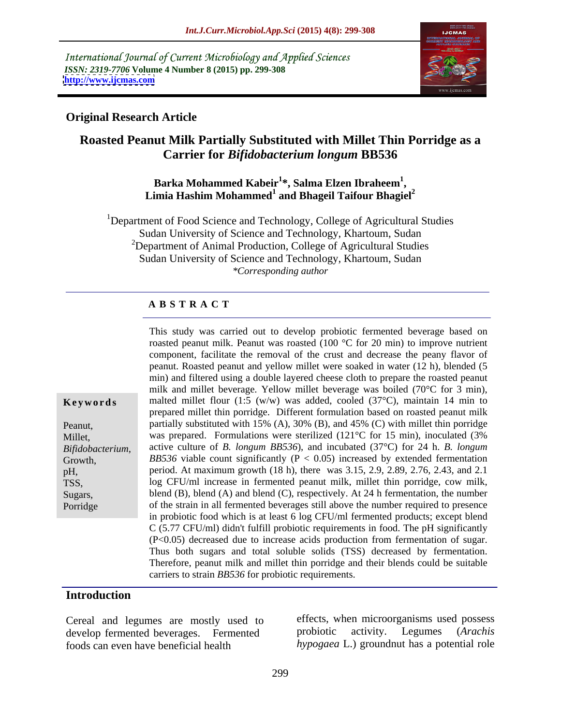International Journal of Current Microbiology and Applied Sciences *ISSN: 2319-7706* **Volume 4 Number 8 (2015) pp. 299-308 <http://www.ijcmas.com>**



## **Original Research Article**

# **Roasted Peanut Milk Partially Substituted with Millet Thin Porridge as a Carrier for** *Bifidobacterium longum* **BB536**

## **Barka Mohammed Kabeir<sup>1</sup> \*, Salma Elzen Ibraheem<sup>1</sup>** Barka Mohammed Kabeir<sup>1</sup>\*, Salma Elzen Ibraheem<sup>1</sup>,<br>Limia Hashim Mohammed<sup>1</sup> and Bhageil Taifour Bhagiel<sup>2</sup>

<sup>1</sup>Department of Food Science and Technology, College of Agricultural Studies Sudan University of Science and Technology, Khartoum, Sudan <sup>2</sup>Department of Animal Production, College of Agricultural Studies Sudan University of Science and Technology, Khartoum, Sudan *\*Corresponding author*

## **A B S T R A C T**

|                | This study was carried out to develop probiotic fermented beverage based on                          |
|----------------|------------------------------------------------------------------------------------------------------|
|                | roasted peanut milk. Peanut was roasted (100 $\degree$ C for 20 min) to improve nutrient             |
|                | component, facilitate the removal of the crust and decrease the peany flavor of                      |
|                | peanut. Roasted peanut and yellow millet were soaked in water (12 h), blended (5                     |
|                | min) and filtered using a double layered cheese cloth to prepare the roasted peanut                  |
|                | milk and millet beverage. Yellow millet beverage was boiled (70°C for 3 min),                        |
| Keywords       | malted millet flour (1:5 (w/w) was added, cooled (37 $\degree$ C), maintain 14 min to                |
|                | prepared millet thin porridge. Different formulation based on roasted peanut milk                    |
|                | partially substituted with 15% (A), 30% (B), and 45% (C) with millet thin porridge                   |
| Peanut,        |                                                                                                      |
| Millet,        | was prepared. Formulations were sterilized $(121^{\circ}C)$ for 15 min), inoculated (3%              |
| Bifidobacteriu | active culture of <i>B. longum BB536</i> ), and incubated $(37^{\circ}C)$ for 24 h. <i>B. longum</i> |
| Growth,        | <i>BB536</i> viable count significantly ( $P < 0.05$ ) increased by extended fermentation            |
|                | period. At maximum growth (18 h), there was 3.15, 2.9, 2.89, 2.76, 2.43, and 2.1                     |
| TSS,           | log CFU/ml increase in fermented peanut milk, millet thin porridge, cow milk,                        |
| Sugars,        | blend (B), blend (A) and blend (C), respectively. At 24 h fermentation, the number                   |
| Porridge       | of the strain in all fermented beverages still above the number required to presence                 |
|                | in probiotic food which is at least 6 log CFU/ml fermented products; except blend                    |
|                | $C$ (5.77 CFU/ml) didn't fulfill probiotic requirements in food. The pH significantly                |
|                | $(P<0.05)$ decreased due to increase acids production from fermentation of sugar.                    |
|                | Thus both sugars and total soluble solids (TSS) decreased by fermentation.                           |
|                |                                                                                                      |
|                | Therefore, peanut milk and millet thin porridge and their blends could be suitable                   |
|                | carriers to strain BB536 for probiotic requirements.                                                 |

## **Introduction**

develop fermented beverages. Fermented foods can even have beneficial health *hypogaea* L.) groundnut has a potential role

Cereal and legumes are mostly used to<br>develop fermented beverages Fermented probiotic activity. Legumes (Arachis effects, when microorganisms used possess probiotic activity. Legumes (*Arachis*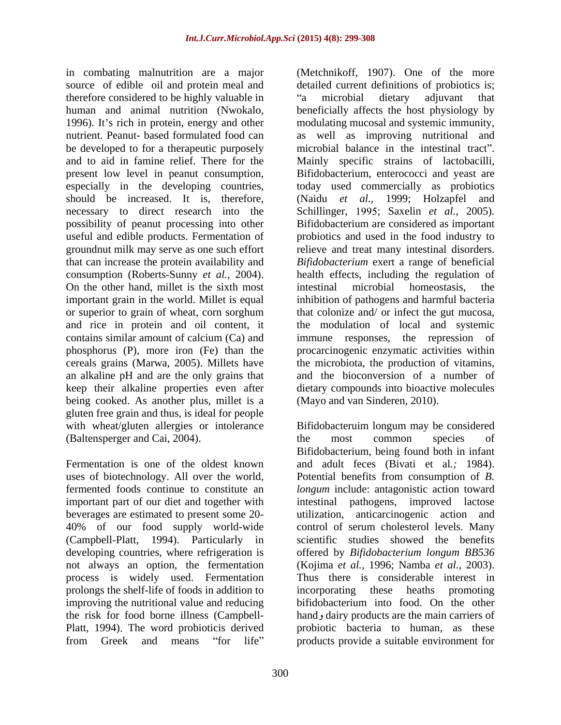therefore considered to be highly valuable in "a microbial dietary adjuvant that should be increased. It is, therefore, (Naidu et al., 1999; Holzapfel and On the other hand, millet is the sixth most intestinal microbial homeostasis, the an alkaline pH and are the only grains that being cooked. As another plus, millet is a gluten free grain and thus, is ideal for people (Baltensperger and Cai, 2004).

uses of biotechnology. All over the world, 40% of our food supply world-wide (Campbell-Platt, 1994). Particularly in prolongs the shelf-life of foods in addition to improving the nutritional value and reducing the risk for food borne illness (Campbell-

in combating malnutrition are a major (Metchnikoff, 1907). One of the more source of edible oil and protein meal and detailed current definitions of probiotics is; human and animal nutrition (Nwokalo, beneficially affects the host physiology by 1996). It's rich in protein, energy and other modulating mucosal and systemic immunity, nutrient. Peanut- based formulated food can as well as improving nutritional and be developed to for a therapeutic purposely microbial balance in the intestinal tract". and to aid in famine relief. There for the Mainly specific strains of lactobacilli, present low level in peanut consumption, Bifidobacterium, enterococci and yeast are especially in the developing countries, today used commercially as probiotics necessary to direct research into the Schillinger, 1995; Saxelin *et al.*, 2005). possibility of peanut processing into other Bifidobacterium are considered as important useful and edible products. Fermentation of probiotics and used in the food industry to groundnut milk may serve as one such effort relieve and treat many intestinal disorders. that can increase the protein availability and *Bifidobacterium* exert a range of beneficial consumption (Roberts-Sunny *et al.,* 2004). health effects, including the regulation of important grain in the world. Millet is equal inhibition of pathogens and harmful bacteria or superior to grain of wheat, corn sorghum that colonize and/ or infect the gut mucosa, and rice in protein and oil content, it the modulation of local and systemic contains similar amount of calcium (Ca) and immune responses, the repression of phosphorus (P), more iron (Fe) than the procarcinogenic enzymatic activities within cereals grains (Marwa, 2005). Millets have the microbiota, the production of vitamins, keep their alkaline properties even after dietary compounds into bioactive molecules a microbial dietary adjuvant that (Naidu *et al.,* 1999; Holzapfel and intestinal microbial homeostasis, the and the bioconversion of a number of (Mayo and van Sinderen, 2010).

with wheat/gluten allergies or intolerance Bifidobacteruim longum may be considered Fermentation is one of the oldest known and adult feces (Bivati et al*.;* 1984). fermented foods continue to constitute an *longum* include: antagonistic action toward important part of our diet and together with intestinal pathogens, improved lactose beverages are estimated to present some 20- utilization, anticarcinogenic action and developing countries, where refrigeration is offered by *Bifidobacterium longum BB536* not always an option, the fermentation (Kojima *et al.,* 1996; Namba *et al.,* 2003). process is widely used. Fermentation Thus there is considerable interest in Platt, 1994). The word probioticis derived probiotic bacteria to human, as these from Greek and means "for life" products provide a suitable environment for the most common species of Bifidobacterium, being found both in infant Potential benefits from consumption of *B.*  control of serum cholesterol levels. Many scientific studies showed the benefits incorporating these heaths bifidobacterium into food. On the other hand, dairy products are the main carriers of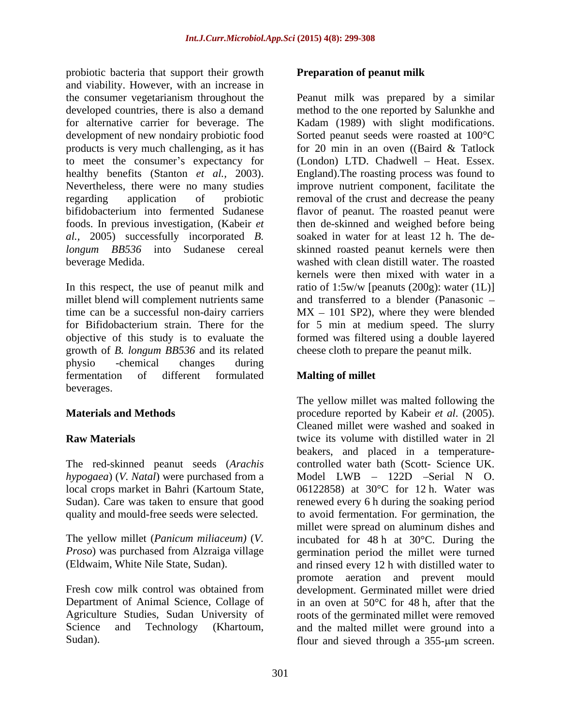probiotic bacteria that support their growth and viability. However, with an increase in the consumer vegetarianism throughout the Peanut milk was prepared by a similar developed countries, there is also a demand method to the one reported by Salunkhe and for alternative carrier for beverage. The Kadam (1989) with slight modifications. development of new nondairy probiotic food Sorted peanut seeds were roasted at 100 °C products is very much challenging, as it has for 20 min in an oven ((Baird & Tatlock to meet the consumer's expectancy for healthy benefits (Stanton *et al.,* 2003). England).The roasting process was found to Nevertheless, there were no many studies improve nutrient component, facilitate the regarding application of probiotic removal of the crust and decrease the peany bifidobacterium into fermented Sudanese flavor of peanut. The roasted peanut were foods. In previous investigation, (Kabeir *et*  then de-skinned and weighed before being *al.,* 2005) successfully incorporated *B. longum BB536* into Sudanese cereal skinned roasted peanut kernels were then beverage Medida. washed with clean distill water. The roasted

In this respect, the use of peanut milk and ratio of 1:5w/w [peanuts (200g): water (1L)] millet blend will complement nutrients same and transferred to a blender (Panasonic – time can be a successful non-dairy carriers  $MX - 101$  SP2), where they were blended for Bifidobacterium strain. There for the for 5 min at medium speed. The slurry objective of this study is to evaluate the formed was filtered using a double layered growth of *B. longum BB536* and its related physio -chemical changes during fermentation of different formulated **Malting of millet** beverages.

The red-skinned peanut seeds (*Arachis hypogaea*) (*V. Natal*) were purchased from a local crops market in Bahri (Kartoum State,

*Proso*) was purchased from Alzraiga village

Department of Animal Science, Collage of Agriculture Studies, Sudan University of

## **Preparation of peanut milk**

Kadam (1989) with slight modifications.<br>Sorted peanut seeds were roasted at 100°C for 20 min in an oven ((Baird & Tatlock  $(London)$  LTD. Chadwell – Heat. Essex. soaked in water for at least 12 h. The de kernels were then mixed with water in a cheese cloth to prepare the peanut milk.

# **Malting of millet**

**Materials and Methods** procedure reported by Kabeir *et al*. (2005). **Raw Materials** twice its volume with distilled water in 2l Sudan). Care was taken to ensure that good renewed every 6 h during the soaking period quality and mould-free seeds were selected. to avoid fermentation. For germination, the The yellow millet (*Panicum miliaceum)* (*V.*  incubated for 48 h at 30°C. During the (Eldwaim, White Nile State, Sudan). and rinsed every 12 h with distilled water to Fresh cow milk control was obtained from development. Germinated millet were dried Science and Technology (Khartoum, and the malted millet were ground into a Sudan). Sudan). Sudan is expanded through a 355-um screen. The yellow millet was malted following the Cleaned millet were washed and soaked in beakers, and placed in a temperature controlled water bath (Scott- Science UK. Model LWB – 122D –Serial N O. 06122858) at 30°C for 12 h. Water was millet were spread on aluminum dishes and germination period the millet were turned promote aeration and prevent mould in an oven at 50°C for 48 h, after that the roots of the germinated millet were removed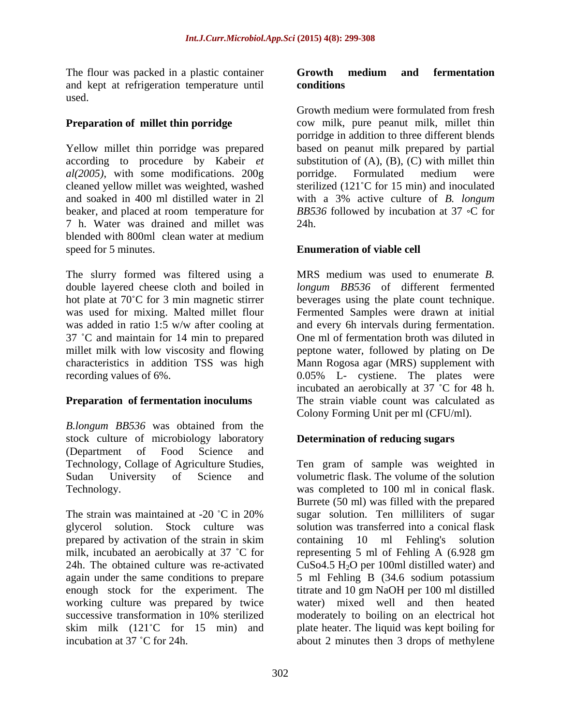and kept at refrigeration temperature until used.

Yellow millet thin porridge was prepared *al(2005)*, with some modifications. 200g 7 h. Water was drained and millet was blended with 800ml clean water at medium speed for 5 minutes. **Enumeration of viable cell**

The slurry formed was filtered using a double layered cheese cloth and boiled in hot plate at 70°C for 3 min magnetic stirrer beverages using the plate count technique. was used for mixing. Malted millet flour Fermented Samples were drawn at initial was added in ratio 1:5 w/w after cooling at and every 6h intervals during fermentation. 37 °C and maintain for 14 min to prepared One ml of fermentation broth was diluted in millet milk with low viscosity and flowing peptone water, followed by plating on De characteristics in addition TSS was high Mann Rogosa agar (MRS) supplement with recording values of 6%. 0.05% L- cystiene. The plates were

*B.longum BB536* was obtained from the stock culture of microbiology laboratory (Department of Food Science and

prepared by activation of the strain in skim containing 10 ml Fehling's solution enough stock for the experiment. The

## The flour was packed in a plastic container **Growth medium and fermentation conditions**

**Preparation of millet thin porridge** cow milk, pure peanut milk, millet thin according to procedure by Kabeir *et*  substitution of (A), (B), (C) with millet thin cleaned yellow millet was weighted, washed sterilized (121 C for 15 min) and inoculated and soaked in 400 ml distilled water in 2l with a 3% active culture of *B. longum* beaker, and placed at room temperature for BB536 followed by incubation at 37 °C for Growth medium were formulated from fresh porridge in addition to three different blends based on peanut milk prepared by partial porridge. Formulated medium were 24h.

**Preparation of fermentation inoculums** The strain viable count was calculated as MRS medium was used to enumerate *B. longum BB536* of different fermented incubated an aerobically at  $37$  °C for 48 h. Colony Forming Unit per ml (CFU/ml).

# **Determination of reducing sugars**

Technology, Collage of Agriculture Studies, Ten gram of sample was weighted in Sudan University of Science and volumetric flask. The volume of the solution Technology. was completed to 100 ml in conical flask. The strain was maintained at -20  $^{\circ}$ C in 20% sugar solution. Ten milliliters of sugar glycerol solution. Stock culture was solution was transferred into a conical flask milk, incubated an aerobically at 37 °C for representing 5 ml of Fehling A (6.928 gm 24h. The obtained culture was re-activated  $CuSo4.5 H<sub>2</sub>O$  per 100ml distilled water) and again under the same conditions to prepare 5 ml Fehling B (34.6 sodium potassium working culture was prepared by twice water) mixed well and then heated successive transformation in 10% sterilized moderately to boiling on an electrical hot skim milk (121<sup>°</sup>C for 15 min) and plate heater. The liquid was kept boiling for The finar was packed in a plastic container **c Convention and Convention**<br>
and lept at originary in equation is a constrained from first<br> **Proposition of milket thin portridge**<br> **Crowth medium conditions**<br> **Crowthene** Burrete (50 ml) was filled with the prepared sugar solution. Ten milliliters of sugar containing  $10$  ml Fehling's titrate and 10 gm NaOH per 100 ml distilled moderately to boiling on an electrical hot about 2 minutes then 3 drops of methylene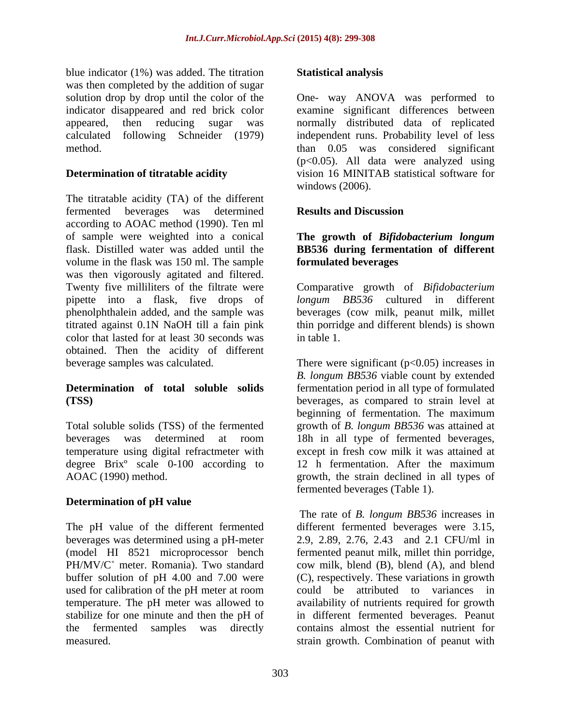blue indicator (1%) was added. The titration **Statistical analysis** was then completed by the addition of sugar calculated following Schneider (1979)

The titratable acidity (TA) of the different fermented beverages was determined according to AOAC method (1990). Ten ml of sample were weighted into a conical **The growth of** *Bifidobacterium longum* flask. Distilled water was added until the **BB536 during fermentation of different** volume in the flask was 150 ml. The sample was then vigorously agitated and filtered. Twenty five milliliters of the filtrate were Comparative growth of *Bifidobacterium*  pipette into a flask, five drops of *longum BB536* cultured in different phenolphthalein added, and the sample was beverages (cow milk, peanut milk, millet titrated against 0.1N NaOH till a fain pink thin porridge and different blends) is shown color that lasted for at least 30 seconds was in table 1. obtained. Then the acidity of different beverage samples was calculated. There were significant (p<0.05) increases in

temperature using digital refractmeter with<br>degree Brix<sup>o</sup> scale 0-100 according to 12 h fermentation. After the maximum degree Brixº scale 0-100 according to

## **Determination of pH value**

The pH value of the different fermented different fermented beverages were 3.15, beverages was determined using a pH-meter 2.9, 2.89, 2.76, 2.43 and 2.1 CFU/ml in used for calibration of the pH meter at room

## **Statistical analysis**

solution drop by drop until the color of the One- way ANOVA was performed to indicator disappeared and red brick color examine significant differences between appeared, then reducing sugar was normally distributed data of replicated method. than 0.05 was considered significant **Determination of titratable acidity** vision 16 MINITAB statistical software for independent runs. Probability level of less (p<0.05). All data were analyzed using windows (2006).

## **Results and Discussion**

# **formulated beverages**

in table 1.

**Determination of total soluble solids** fermentation period in all type of formulated **(TSS)** beverages, as compared to strain level at Total soluble solids (TSS) of the fermented growth of *B. longum BB536* was attained at beverages was determined at room 18h in all type of fermented beverages, AOAC (1990) method. growth, the strain declined in all types of *B. longum BB536* viable count by extended beginning of fermentation. The maximum except in fresh cow milk it was attained at 12 h fermentation. After the maximum

(model HI 8521 microprocessor bench fermented peanut milk, millet thin porridge, PH/MV/C<sup>°</sup> meter. Romania). Two standard cow milk, blend (B), blend (A), and blend buffer solution of pH 4.00 and 7.00 were (C), respectively. These variations in growth temperature. The pH meter was allowed to availability of nutrients required for growth stabilize for one minute and then the pH of in different fermented beverages. Peanut the fermented samples was directly contains almost the essential nutrient for measured. strain growth. Combination of peanut withfermented beverages (Table 1). The rate of *B. longum BB536* increases in different fermented beverages were 3.15, 2.9, 2.89, 2.76, 2.43 and 2.1 CFU/ml in could be attributed to variances in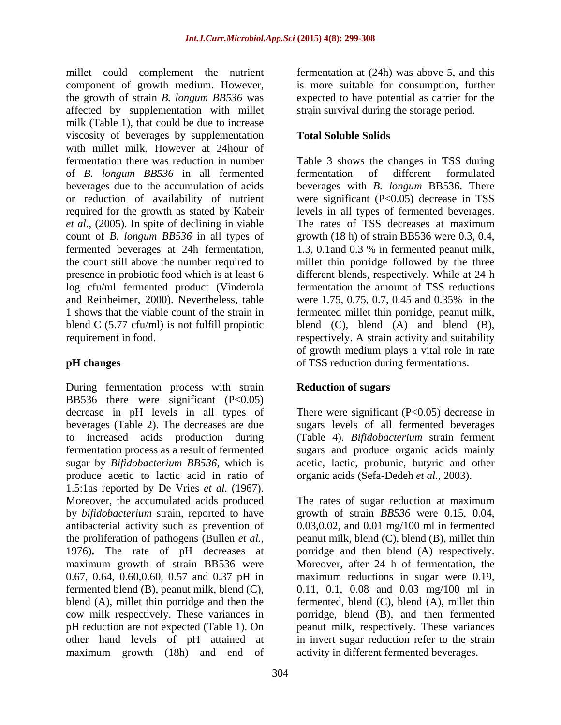millet could complement the nutrient fermentation at (24h) was above 5, and this component of growth medium. However, the growth of strain *B. longum BB536* was affected by supplementation with millet milk (Table 1), that could be due to increase viscosity of beverages by supplementation Total Soluble Solids with millet milk. However at 24hour of fermentation there was reduction in number Table 3 shows the changes in TSS during of *B. longum BB536* in all fermented beverages due to the accumulation of acids or reduction of availability of nutrient were significant (P<0.05) decrease in TSS required for the growth as stated by Kabeir levels in all types of fermented beverages. *et al.,* (2005). In spite of declining in viable count of *B. longum BB536* in all types of growth (18 h) of strain BB536 were 0.3, 0.4, fermented beverages at 24h fermentation, 1.3, 0.1and 0.3 % in fermented peanut milk, the count still above the number required to millet thin porridge followed by the three presence in probiotic food which is at least 6 different blends, respectively. While at 24 h log cfu/ml fermented product (Vinderola and Reinheimer, 2000). Nevertheless, table were 1.75, 0.75, 0.7, 0.45 and 0.35% in the 1 shows that the viable count of the strain in fermented millet thin porridge, peanut milk, blend C (5.77 cfu/ml) is not fulfill propiotic blend (C), blend (A) and blend (B), requirement in food. respectively. A strain activity and suitability

During fermentation process with strain BB536 there were significant  $(P<0.05)$ decrease in pH levels in all types of There were significant (P<0.05) decrease in beverages (Table 2). The decreases are due sugars levels of all fermented beverages to increased acids production during (Table 4). *Bifidobacterium* strain ferment fermentation process as a result of fermented sugars and produce organic acids mainly sugar by *Bifidobacterium BB536*, which is acetic, lactic, probunic, butyric and other produce acetic to lactic acid in ratio of 1.5:1as reported by De Vries *et al.* (1967). Moreover, the accumulated acids produced The rates of sugar reduction at maximum by *bifidobacterium* strain, reported to have growth of strain *BB536* were 0.15, 0.04, antibacterial activity such as prevention of 0.03,0.02, and 0.01 mg/100 ml in fermented the proliferation of pathogens (Bullen *et al.,* peanut milk, blend (C), blend (B), millet thin 1976)**.** The rate of pH decreases at maximum growth of strain BB536 were Moreover, after 24 h of fermentation, the 0.67, 0.64, 0.60,0.60, 0.57 and 0.37 pH in maximum reductions in sugar were 0.19, fermented blend (B), peanut milk, blend (C),  $\qquad 0.11, 0.1, 0.08$  and  $0.03$  mg/100 ml in blend (A), millet thin porridge and then the fermented, blend (C), blend (A), millet thin cow milk respectively. These variances in porridge, blend (B), and then fermented pH reduction are not expected (Table 1). On peanut milk, respectively. These variances other hand levels of pH attained at in invert sugar reduction refer to the strain maximum growth (18h) and end of

is more suitable for consumption, further expected to have potential as carrier for the strain survival during the storage period.

# **Total Soluble Solids**

**pH changes**  of TSS reduction during fermentations. fermentation of different formulated beverages with *B. longum* BB536. There The rates of TSS decreases at maximum fermentation the amount of TSS reductions were 1.75, 0.75, 0.7, 0.45 and 0.35% in the of growth medium plays a vital role in rate

# **Reduction of sugars**

organic acids (Sefa-Dedeh *et al.,* 2003).

porridge and then blend (A) respectively. activity in different fermented beverages.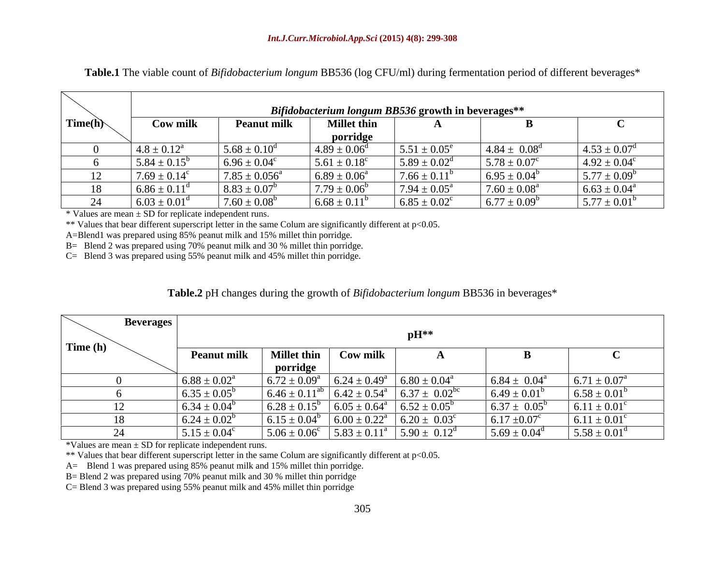|         | Bifidobacterium longum BB536 growth in beverages** |                         |                         |                            |                            |                                                            |  |
|---------|----------------------------------------------------|-------------------------|-------------------------|----------------------------|----------------------------|------------------------------------------------------------|--|
| Time(h) | Cow ml.                                            | Peanut milk             | et thin.<br>porridge    |                            |                            |                                                            |  |
|         | $4.8 \pm 0.12^{\circ}$                             | $5.68 + 0.1$            | $4.89 \pm 0.06^{\rm d}$ | $5.51 \pm 0.05^e$          | $4.84 \pm 0.08^{\circ}$    | $4.53 \pm 0.07^{\circ}$<br>$\cdots$ $\sim$ $\sim$ $\cdots$ |  |
|         | $5.84 \pm 0.15^b$                                  | $6.96 \pm 0.04^{\circ}$ | $5.61 \pm 0.18^c$       | $5.89 \pm 0.02^{\text{d}}$ | $5.78 \pm 0.07^c$          | $4.92 \pm 0.04^c$                                          |  |
|         | $7.69 \pm 0.14^c$                                  | $1.85 \pm 0.056^a$      | $6.89 \pm 0.06^{\circ}$ | $7.66 \pm 0.11^b$          | $6.95 \pm 0.04^b$          | $5.77 \pm 0.09^b$                                          |  |
|         | $6.86 \pm 0.11^{\circ}$                            | $8.83 \pm 0.07$         | $7.79 \pm 0.06$         | $7.94 \pm 0.05^{\text{a}}$ | $7.60 \pm 0.08^{\text{a}}$ | $6.63 \pm 0.04^a$                                          |  |
|         | $6.03 \pm 0.01^{\text{d}}$                         | $1.60 + 0.0$            | $6.68 + 0.11$           | $6.85 \pm 0.02$            | $-77$<br>0.09 <sup>t</sup> | $5.77 \pm 0.01^{\circ}$                                    |  |

**Table.1** The viable count of *Bifidobacterium longum* BB536 (log CFU/ml) during fermentation period of different beverages\*

 $*$  Values are mean  $\pm$  SD for replicate independent runs.

\*\* Values that bear different superscript letter in the same Colum are significantly different at p<0.05.

A=Blend1 was prepared using 85% peanut milk and 15% millet thin porridge.

B= Blend 2 was prepared using 70% peanut milk and 30 % millet thin porridge.

C= Blend 3 was prepared using 55% peanut milk and 45% millet thin porridge.

### **Table.2** pH changes during the growth of *Bifidobacterium longum* BB536 in beverages\*

| <b>Beverages</b> |                    |                         |                                                                 |                                     |                              |                         |  |
|------------------|--------------------|-------------------------|-----------------------------------------------------------------|-------------------------------------|------------------------------|-------------------------|--|
|                  | $\mathbf{p}$ H**   |                         |                                                                 |                                     |                              |                         |  |
| Time (h)         | <b>Peanut milk</b> | <b>Millet thin</b>      | <b>Cow milk</b>                                                 |                                     |                              |                         |  |
|                  |                    | porridge                |                                                                 |                                     |                              |                         |  |
|                  | $6.88 \pm 0.02^a$  | $6.72 \pm 0.09^{\circ}$ | $6.24 \pm 0.49^a$                                               | $\frac{a}{6.80}$ $\pm 0.04^{\circ}$ | $6.84 \pm 0.04^{\text{a}}$   | $6.71 \pm 0.07^{\circ}$ |  |
|                  | $6.35 \pm 0.05^b$  | $6.46 \pm 0.11^{\circ}$ | $^{b}$ 6.42 ± 0.54 <sup>a</sup> 6.37 ± 0.02 <sup>bc</sup>       |                                     | $6.49 \pm 0.01^b$            | $16.58 \pm 0.01^b$      |  |
|                  | $6.34 \pm 0.04^b$  | $6.28 \pm 0.15$         | 6.05 ± $0.64^a$ 6.52 ± $0.05^b$                                 |                                     | $6.37 \pm 0.05^b$            | $6.11 \pm 0.01^c$       |  |
| 1 O              | $6.24 \pm 0.02^b$  | $6.15 \pm 0.04^b$       | $\vert 6.00 \pm 0.22^{\text{a}} \vert 6.20 \pm 0.03^{\text{c}}$ |                                     | $6.17 \pm 0.07$ <sup>c</sup> | $6.11 \pm 0.01^{\circ}$ |  |
|                  | $5.15 \pm 0.04^c$  | $5.06 \pm 0.06^{\circ}$ | $5.83 \pm 0.11^{\circ}$                                         | $5.90 \pm 0.12^d$                   | $5.69 \pm 0.04^d$            | $5.58 \pm 0.01^d$       |  |

\*Values are mean ± SD for replicate independent runs.

\*\* Values that bear different superscript letter in the same Colum are significantly different at p<0.05.

A= Blend 1 was prepared using 85% peanut milk and 15% millet thin porridge.

B= Blend 2 was prepared using 70% peanut milk and 30 % millet thin porridge

C= Blend 3 was prepared using 55% peanut milk and 45% millet thin porridge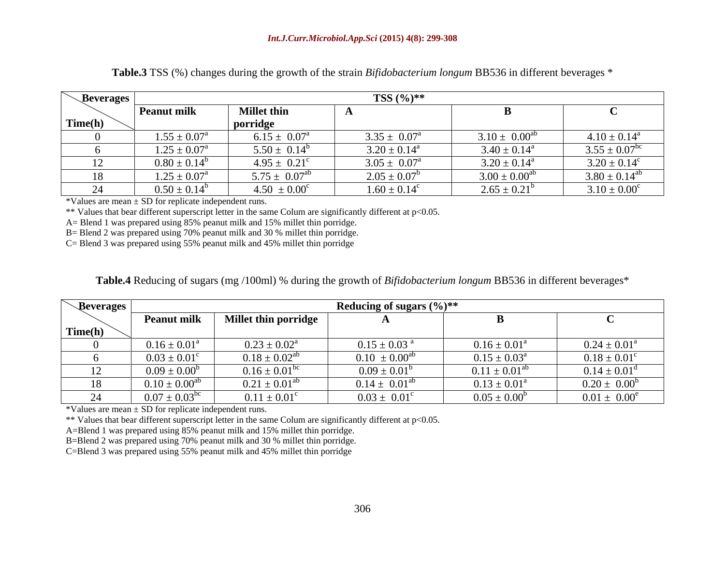| <b>Beverages</b> |                          |                            | TSS $(\%)^{**}$         |                         |                               |
|------------------|--------------------------|----------------------------|-------------------------|-------------------------|-------------------------------|
|                  | <b>Peanut milk</b>       | <b>Millet thin</b>         |                         |                         |                               |
| Time(h)          |                          | porridge                   |                         |                         |                               |
|                  | $1.55 \pm 0.07^{\rm a}$  | $6.15 \pm 0.07^{\text{a}}$ | $3.35 \pm 0.07^{\circ}$ | $3.10 \pm 0.00^{ab}$    | $4.10 \pm 0.14^a$             |
|                  | $1.25 \pm 0.07^{\rm a}$  | $5.50 \pm 0.14^b$          | $3.20 \pm 0.14^a$       | $3.40 \pm 0.14^{\circ}$ | $3.55 \pm 0.07$ <sup>bc</sup> |
| ┸ <del></del>    | $0.80 \pm 0.14^b$        | $4.95 \pm 0.21^{\circ}$    | $3.05 \pm 0.07$         | $3.20 \pm 0.14^{\circ}$ | $3.20 \pm 0.14^c$             |
| 18               | $1.25 \pm 0.07^{\rm a}$  | $5.75 \pm 0.07^{ab}$       | $2.05 \pm 0.07^b$       | $3.00 \pm 0.00^{ab}$    | $3.80 \pm 0.14^{ab}$          |
|                  | $0.50 -$<br>$\pm 0.14^t$ | $.50 \pm 0.00^{\circ}$     | $1.60 \pm 0.14^c$       | $2.65 \pm 0.21^{\circ}$ | $3.10 \pm 0.00^{\circ}$       |

**Table.3** TSS (%) changes during the growth of the strain *Bifidobacterium longum* BB536 in different beverages \*

\*Values are mean ± SD for replicate independent runs.

\*\* Values that bear different superscript letter in the same Colum are significantly different at p<0.05.

A= Blend 1 was prepared using 85% peanut milk and 15% millet thin porridge.

B= Blend 2 was prepared using 70% peanut milk and 30 % millet thin porridge.

C= Blend 3 was prepared using 55% peanut milk and 45% millet thin porridge

| <b>\Beverages</b> |                                          |                               | <b>Reducing of sugars <math>(\frac{6}{6})</math>**</b> |                         |                         |
|-------------------|------------------------------------------|-------------------------------|--------------------------------------------------------|-------------------------|-------------------------|
|                   | Peanut                                   | <b>Millet thin porridge</b>   |                                                        |                         |                         |
| Time(h)           |                                          |                               |                                                        |                         |                         |
|                   | $0.16 \pm 0.01^a$                        | $0.23 \pm 0.02^{\text{a}}$    | $0.15 \pm 0.03$                                        | $0.16 \pm 0.01^8$       | $0.24 \pm 0.01^{\circ}$ |
|                   | $0.03 \pm 0.01^{\circ}$                  | $0.18 \pm 0.02$ <sup>at</sup> | $0.10 \pm 0.00^{ab}$                                   | $0.15 \pm 0.03^a$       | $0.18 \pm 0.01^{\circ}$ |
| $\perp$           | $0.09 \pm 0.00^6$                        | $0.16 \pm 0.01^{bc}$          | $0.09 \pm 0.01^{\circ}$                                | $0.11 \pm 0.01^{ab}$    | $0.14 \pm 0.01^d$       |
| 18                | $+$ () ()() <sup><math>\mu</math>c</sup> | $0.21 \pm 0.01^{ab}$          | $0.14 \pm 0.01^{ab}$                                   | $0.13 \pm 0.01^{\circ}$ | $0.20 \pm 0.00^b$       |
|                   | $0.07 \pm 0.03$ <sup>bc</sup>            | $0.11 \pm 0.01^c$             | $0.03 \pm 0.01^{\circ}$                                | $0.05 \pm 0.00^6$       | $0.01 \pm 0.00^e$       |

\*Values are mean ± SD for replicate independent runs.

\*\* Values that bear different superscript letter in the same Colum are significantly different at p<0.05.

A=Blend 1 was prepared using 85% peanut milk and 15% millet thin porridge.

B=Blend 2 was prepared using 70% peanut milk and 30 % millet thin porridge.

C=Blend 3 was prepared using 55% peanut milk and 45% millet thin porridge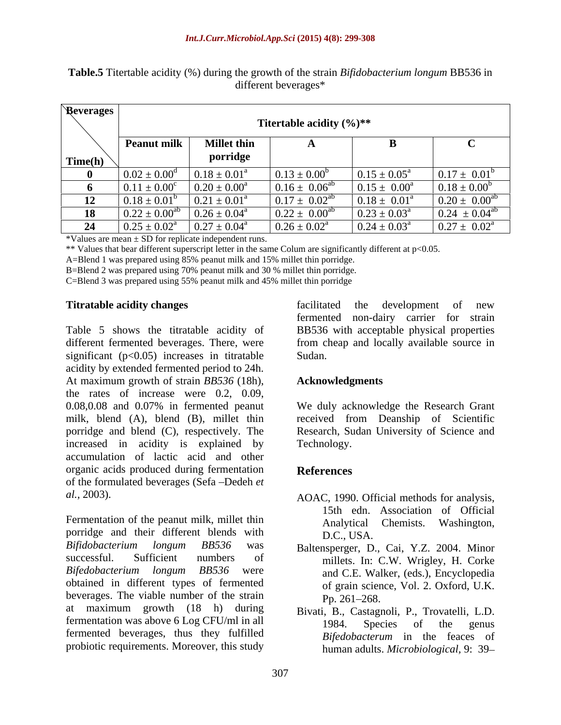| Reverages |                              |                         |                             |                            |                               |
|-----------|------------------------------|-------------------------|-----------------------------|----------------------------|-------------------------------|
|           | Titertable acidity $(\%)$ ** |                         |                             |                            |                               |
|           | <b>Peanut milk</b>           | <b>Millet thin</b>      |                             |                            |                               |
| Time(h)   |                              | porridge                |                             |                            |                               |
|           | $0.02 \pm 0.00^d$            | $0.18 \pm 0.01^a$       | $\sqrt{0.13 \pm 0.00^b}$    | $0.15 \pm 0.05^{\text{a}}$ | $0.17 \pm 0.01^b$             |
|           | $0.11 \pm 0.00^c$            | $0.20 \pm 0.00^a$       | $0.16 \pm 0.06^{ab}$        | $0.15 \pm 0.00^a$          | $0.18 \pm 0.00$               |
| 12        | $0.18 \pm 0.01^b$            | $0.21 \pm 0.01^{\circ}$ | $0.17 \pm 0.02^{\text{ab}}$ | $0.18 \pm 0.01^a$          | $0.20 \pm 0.00^{ab}$          |
|           | $0.22 \pm 0.00^{ab}$         | $0.26 \pm 0.04^{\circ}$ | $0.22 \pm 0.00^{ab}$        | $1.23 \pm 0.03^{\text{a}}$ | $0.24 \pm 0.04$ <sup>al</sup> |
| $\Delta$  | $0.25 \pm 0.02^{\text{a}}$   | $0.27 \pm 0.04^{\circ}$ | $0.26 \pm 0.02^{\text{a}}$  | $0.24 \pm 0.03^{\text{a}}$ | $0.27 \pm 0.02^{\text{a}}$    |

**Table.5** Titertable acidity (%) during the growth of the strain *Bifidobacterium longum* BB536 in different beverages\*

\*Values are mean ± SD for replicate independent runs.

\*\* Values that bear different superscript letter in the same Colum are significantly different at p<0.05.

A=Blend 1 was prepared using 85% peanut milk and 15% millet thin porridge.

B=Blend 2 was prepared using 70% peanut milk and 30 % millet thin porridge.

C=Blend 3 was prepared using 55% peanut milk and 45% millet thin porridge

Table 5 shows the titratable acidity of BB536 with acceptable physical properties different fermented beverages. There, were from cheap and locally available source in significant  $(p<0.05)$  increases in titratable Sudan. acidity by extended fermented period to 24h. At maximum growth of strain *BB536* (18h), the rates of increase were 0.2, 0.09, 0.08,0.08 and 0.07% in fermented peanut We duly acknowledge the Research Grant milk, blend (A), blend (B), millet thin received from Deanship of Scientific porridge and blend (C), respectively. The increased in acidity is explained by Technology. accumulation of lactic acid and other organic acids produced during fermentation References of the formulated beverages (Sefa Dedeh *et* 

Fermentation of the peanut milk, millet thin Analytical Chemists. Washington, porridge and their different blends with D.C. USA. *Bifidobacterium longum BB536* was successful. Sufficient numbers of millets. In: C.W. Wrigley, H. Corke *Bifedobacterium longum BB536* were obtained in different types of fermented beverages. The viable number of the strain Pp. 261–268. at maximum growth (18 h) during fermentation was above 6 Log CFU/ml in all and the sense of the genus fermented beverages, thus they fulfilled probiotic requirements. Moreover, this study

**Titratable acidity changes** *EXECUTER* **EXECUTER EXECUTER EXECUTER EXECUTER EXECUTER EXECUTER EXECUTER EXECUTER EXECUTER EXECUTER EXECUTER EXECUTER EXECUTER EXECUTER EXECUTER EXECUTER EXE** facilitated the development of new fermented non-dairy carrier for strain Sudan. **Summer Summer Summer Summer Summer Summer Summer Summer Summer Summer Summer Summer Summer Summer Summer Summer Summer Summer Summer Summer Summer Summer Summer Summer Summer Summer Summer Summer Summer Summer Summ** 

## **Acknowledgments**

Research, Sudan University of Science and Technology.

## **References**

- *al.,* 2003). AOAC, 1990. Official methods for analysis, 15th edn. Association of Official Analytical Chemists. D.C., USA.
	- Baltensperger, D., Cai, Y.Z. 2004. Minor and C.E. Walker, (eds.), Encyclopedia of grain science, Vol. 2. Oxford, U.K.  $Pp. 261 - 268.$
	- Bivati, B., Castagnoli, P., Trovatelli, L.D. 1984. Species of the genus *Bifedobacterum* in the feaces of human adults. *Microbiological,* 9: 39